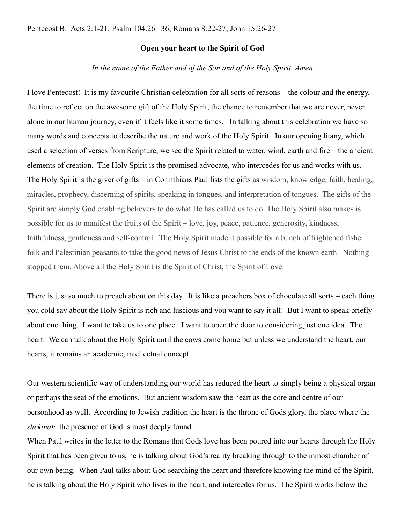## **Open your heart to the Spirit of God**

## *In the name of the Father and of the Son and of the Holy Spirit. Amen*

I love Pentecost! It is my favourite Christian celebration for all sorts of reasons – the colour and the energy, the time to reflect on the awesome gift of the Holy Spirit, the chance to remember that we are never, never alone in our human journey, even if it feels like it some times. In talking about this celebration we have so many words and concepts to describe the nature and work of the Holy Spirit. In our opening litany, which used a selection of verses from Scripture, we see the Spirit related to water, wind, earth and fire – the ancient elements of creation. The Holy Spirit is the promised advocate, who intercedes for us and works with us. The Holy Spirit is the giver of gifts – in Corinthians Paul lists the gifts as wisdom, knowledge, faith, healing, miracles, prophecy, discerning of spirits, speaking in tongues, and interpretation of tongues. The gifts of the Spirit are simply God enabling believers to do what He has called us to do. The Holy Spirit also makes is possible for us to manifest the fruits of the Spirit – love, joy, peace, patience, generosity, kindness, faithfulness, gentleness and self-control. The Holy Spirit made it possible for a bunch of frightened fisher folk and Palestinian peasants to take the good news of Jesus Christ to the ends of the known earth. Nothing stopped them. Above all the Holy Spirit is the Spirit of Christ, the Spirit of Love.

There is just so much to preach about on this day. It is like a preachers box of chocolate all sorts – each thing you cold say about the Holy Spirit is rich and luscious and you want to say it all! But I want to speak briefly about one thing. I want to take us to one place. I want to open the door to considering just one idea. The heart. We can talk about the Holy Spirit until the cows come home but unless we understand the heart, our hearts, it remains an academic, intellectual concept.

Our western scientific way of understanding our world has reduced the heart to simply being a physical organ or perhaps the seat of the emotions. But ancient wisdom saw the heart as the core and centre of our personhood as well. According to Jewish tradition the heart is the throne of Gods glory, the place where the *shekinah,* the presence of God is most deeply found.

When Paul writes in the letter to the Romans that Gods love has been poured into our hearts through the Holy Spirit that has been given to us, he is talking about God's reality breaking through to the inmost chamber of our own being. When Paul talks about God searching the heart and therefore knowing the mind of the Spirit, he is talking about the Holy Spirit who lives in the heart, and intercedes for us. The Spirit works below the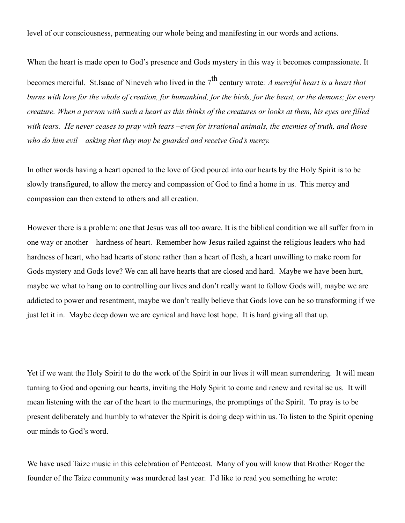level of our consciousness, permeating our whole being and manifesting in our words and actions.

When the heart is made open to God's presence and Gods mystery in this way it becomes compassionate. It becomes merciful. St.Isaac of Nineveh who lived in the 7<sup>th</sup> century wrote: A merciful heart is a heart that *burns with love for the whole of creation, for humankind, for the birds, for the beast, or the demons; for every creature. When a person with such a heart as this thinks of the creatures or looks at them, his eyes are filled with tears. He never ceases to pray with tears –even for irrational animals, the enemies of truth, and those who do him evil – asking that they may be guarded and receive God's mercy.*

In other words having a heart opened to the love of God poured into our hearts by the Holy Spirit is to be slowly transfigured, to allow the mercy and compassion of God to find a home in us. This mercy and compassion can then extend to others and all creation.

However there is a problem: one that Jesus was all too aware. It is the biblical condition we all suffer from in one way or another – hardness of heart. Remember how Jesus railed against the religious leaders who had hardness of heart, who had hearts of stone rather than a heart of flesh, a heart unwilling to make room for Gods mystery and Gods love? We can all have hearts that are closed and hard. Maybe we have been hurt, maybe we what to hang on to controlling our lives and don't really want to follow Gods will, maybe we are addicted to power and resentment, maybe we don't really believe that Gods love can be so transforming if we just let it in. Maybe deep down we are cynical and have lost hope. It is hard giving all that up.

Yet if we want the Holy Spirit to do the work of the Spirit in our lives it will mean surrendering. It will mean turning to God and opening our hearts, inviting the Holy Spirit to come and renew and revitalise us. It will mean listening with the ear of the heart to the murmurings, the promptings of the Spirit. To pray is to be present deliberately and humbly to whatever the Spirit is doing deep within us. To listen to the Spirit opening our minds to God's word.

We have used Taize music in this celebration of Pentecost. Many of you will know that Brother Roger the founder of the Taize community was murdered last year. I'd like to read you something he wrote: